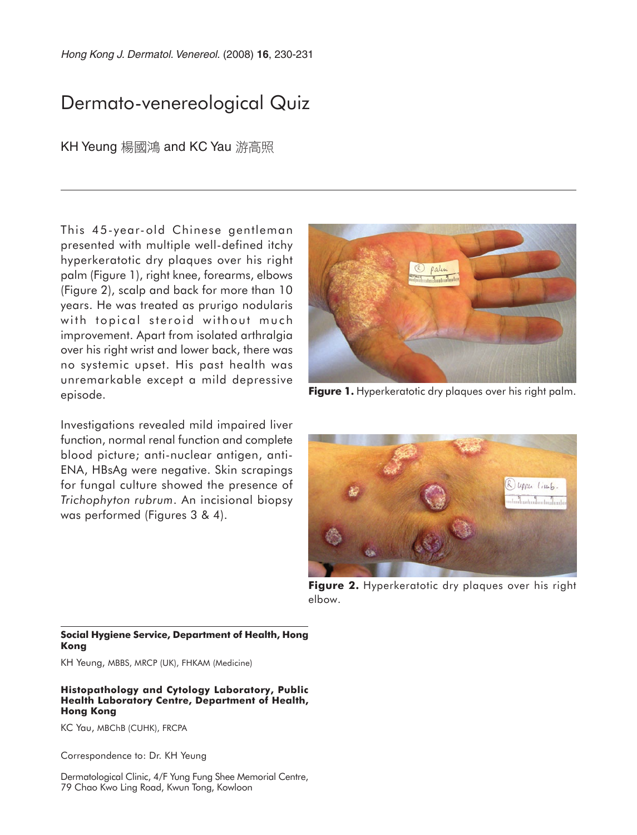Hong Kong J. Dermatol. Venereol. (2008) **16**, 230-231

# Dermato-venereological Quiz

KH Yeung 楊國鴻 and KC Yau 游高照

This 45-year-old Chinese gentleman presented with multiple well-defined itchy hyperkeratotic dry plaques over his right palm (Figure 1), right knee, forearms, elbows (Figure 2), scalp and back for more than 10 years. He was treated as prurigo nodularis with topical steroid without much improvement. Apart from isolated arthralgia over his right wrist and lower back, there was no systemic upset. His past health was unremarkable except a mild depressive episode.

Investigations revealed mild impaired liver function, normal renal function and complete blood picture; anti-nuclear antigen, anti-ENA, HBsAg were negative. Skin scrapings for fungal culture showed the presence of *Trichophyton rubrum*. An incisional biopsy was performed (Figures 3 & 4).



**Figure 1.** Hyperkeratotic dry plaques over his right palm.



**Figure 2.** Hyperkeratotic dry plaques over his right elbow.

#### **Social Hygiene Service, Department of Health, Hong Kong**

KH Yeung, MBBS, MRCP (UK), FHKAM (Medicine)

#### **Histopathology and Cytology Laboratory, Public Health Laboratory Centre, Department of Health, Hong Kong**

KC Yau, MBChB (CUHK), FRCPA

Correspondence to: Dr. KH Yeung

Dermatological Clinic, 4/F Yung Fung Shee Memorial Centre, 79 Chao Kwo Ling Road, Kwun Tong, Kowloon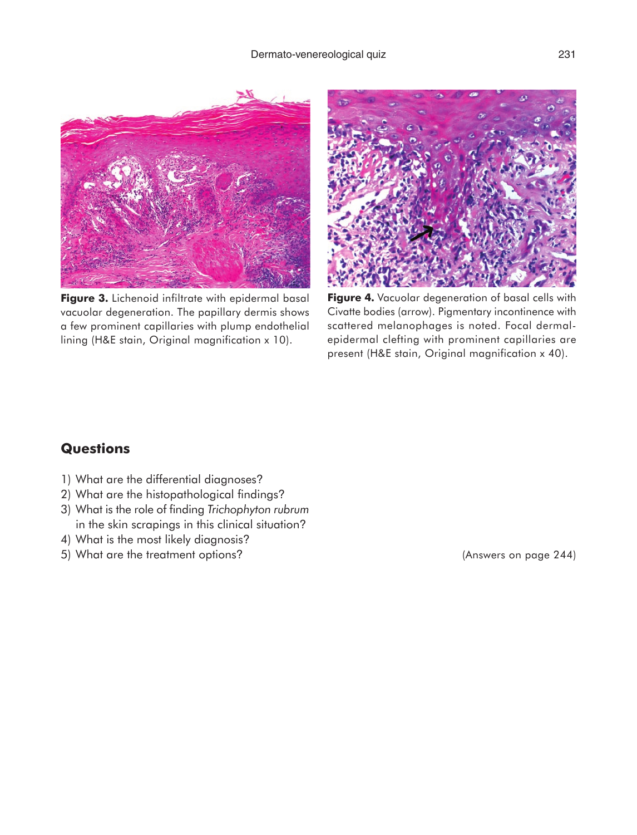

**Figure 3.** Lichenoid infiltrate with epidermal basal vacuolar degeneration. The papillary dermis shows a few prominent capillaries with plump endothelial lining (H&E stain, Original magnification x 10).



**Figure 4.** Vacuolar degeneration of basal cells with Civatte bodies (arrow). Pigmentary incontinence with scattered melanophages is noted. Focal dermalepidermal clefting with prominent capillaries are present (H&E stain, Original magnification x 40).

### **Questions**

- 1) What are the differential diagnoses?
- 2) What are the histopathological findings?
- 3) What is the role of finding *Trichophyton rubrum* in the skin scrapings in this clinical situation?
- 4) What is the most likely diagnosis?
- 5) What are the treatment options?

(Answers on page 244)